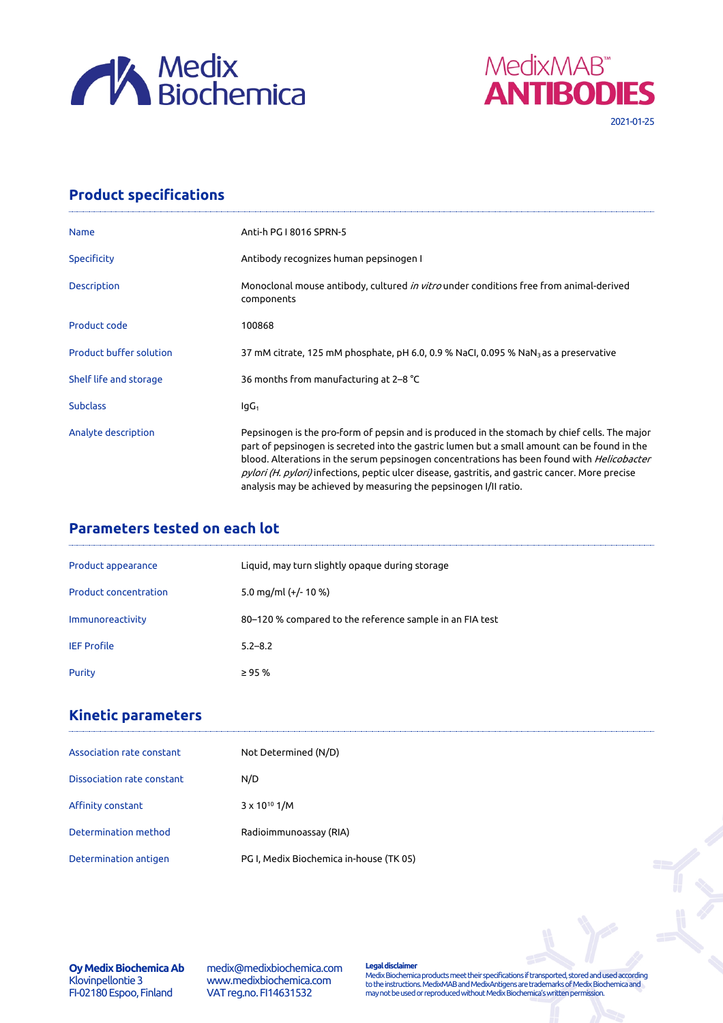



## **Product specifications**

| <b>Name</b>                    | Anti-h PG I 8016 SPRN-5                                                                                                                                                                                                                                                                                                                                                                                                                                                    |
|--------------------------------|----------------------------------------------------------------------------------------------------------------------------------------------------------------------------------------------------------------------------------------------------------------------------------------------------------------------------------------------------------------------------------------------------------------------------------------------------------------------------|
| <b>Specificity</b>             | Antibody recognizes human pepsinogen I                                                                                                                                                                                                                                                                                                                                                                                                                                     |
| Description                    | Monoclonal mouse antibody, cultured in vitro under conditions free from animal-derived<br>components                                                                                                                                                                                                                                                                                                                                                                       |
| Product code                   | 100868                                                                                                                                                                                                                                                                                                                                                                                                                                                                     |
| <b>Product buffer solution</b> | 37 mM citrate, 125 mM phosphate, pH 6.0, 0.9 % NaCl, 0.095 % NaN <sub>3</sub> as a preservative                                                                                                                                                                                                                                                                                                                                                                            |
| Shelf life and storage         | 36 months from manufacturing at 2–8 °C                                                                                                                                                                                                                                                                                                                                                                                                                                     |
| <b>Subclass</b>                | lgG <sub>1</sub>                                                                                                                                                                                                                                                                                                                                                                                                                                                           |
| Analyte description            | Pepsinogen is the pro-form of pepsin and is produced in the stomach by chief cells. The major<br>part of pepsinogen is secreted into the gastric lumen but a small amount can be found in the<br>blood. Alterations in the serum pepsinogen concentrations has been found with <i>Helicobacter</i><br>pylori (H. pylori) infections, peptic ulcer disease, gastritis, and gastric cancer. More precise<br>analysis may be achieved by measuring the pepsinogen I/II ratio. |

## **Parameters tested on each lot**

| Product appearance           | Liquid, may turn slightly opaque during storage          |
|------------------------------|----------------------------------------------------------|
| <b>Product concentration</b> | 5.0 mg/ml $(+/- 10 %$                                    |
| Immunoreactivity             | 80-120 % compared to the reference sample in an FIA test |
| <b>IEF Profile</b>           | $5.2 - 8.2$                                              |
| Purity                       | $\geq$ 95 %                                              |

## **Kinetic parameters**

| Association rate constant  | Not Determined (N/D)                    |
|----------------------------|-----------------------------------------|
| Dissociation rate constant | N/D                                     |
| Affinity constant          | $3 \times 10^{10}$ 1/M                  |
| Determination method       | Radioimmunoassay (RIA)                  |
| Determination antigen      | PG I, Medix Biochemica in-house (TK 05) |

**Oy Medix Biochemica Ab** Klovinpellontie 3 FI-02180 Espoo, Finland

medix@medixbiochemica.com www.medixbiochemica.com VAT reg.no. FI14631532

**Legal disclaimer** Medix Biochemica products meet their specifications if transported, stored and used according to the instructions. MedixMAB and MedixAntigens are trademarks of Medix Biochemica and may not be used or reproduced without Medix Biochemica's written permission.